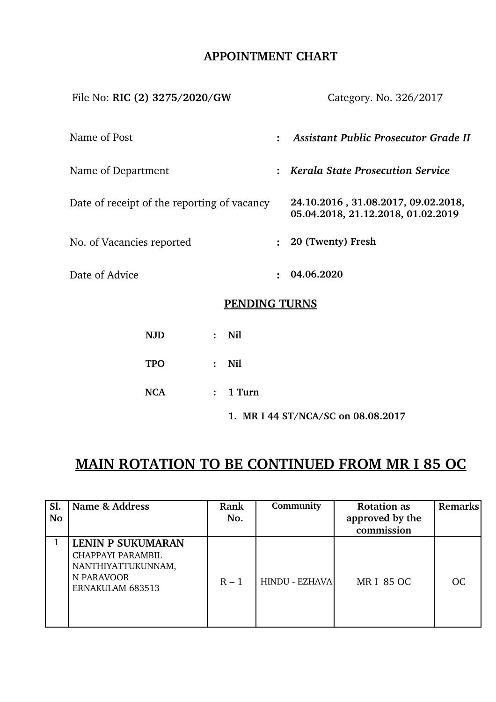## **APPOINTMENT CHART**

| File No: RIC (2) 3275/2020/GW               |                | Category. No. 326/2017                                                    |  |  |  |  |
|---------------------------------------------|----------------|---------------------------------------------------------------------------|--|--|--|--|
| Name of Post                                | $\ddot{\cdot}$ | Assistant Public Prosecutor Grade II                                      |  |  |  |  |
| Name of Department                          |                | : Kerala State Prosecution Service                                        |  |  |  |  |
| Date of receipt of the reporting of vacancy |                | 24.10.2016, 31.08.2017, 09.02.2018,<br>05.04.2018, 21.12.2018, 01.02.2019 |  |  |  |  |
| No. of Vacancies reported                   | $\ddot{\cdot}$ | 20 (Twenty) Fresh                                                         |  |  |  |  |
| Date of Advice                              | $\ddot{\cdot}$ | 04.06.2020                                                                |  |  |  |  |
| PENDING TURNS                               |                |                                                                           |  |  |  |  |

# **NJD : Nil TPO : Nil NCA : 1 Turn 1. MR I 44 ST/NCA/SC on 08.08.2017**

# **MAIN ROTATION TO BE CONTINUED FROM MR I 85 OC**

| Sl.<br><b>No</b> | Name & Address                                                                                        | Rank<br>No. | Community      | <b>Rotation as</b><br>approved by the<br>commission | Remarks       |
|------------------|-------------------------------------------------------------------------------------------------------|-------------|----------------|-----------------------------------------------------|---------------|
|                  | <b>LENIN P SUKUMARAN</b><br>CHAPPAYI PARAMBIL<br>NANTHIYATTUKUNNAM,<br>N PARAVOOR<br>ERNAKULAM 683513 | $R-1$       | HINDU - EZHAVA | <b>MRI 85 OC</b>                                    | <sub>OC</sub> |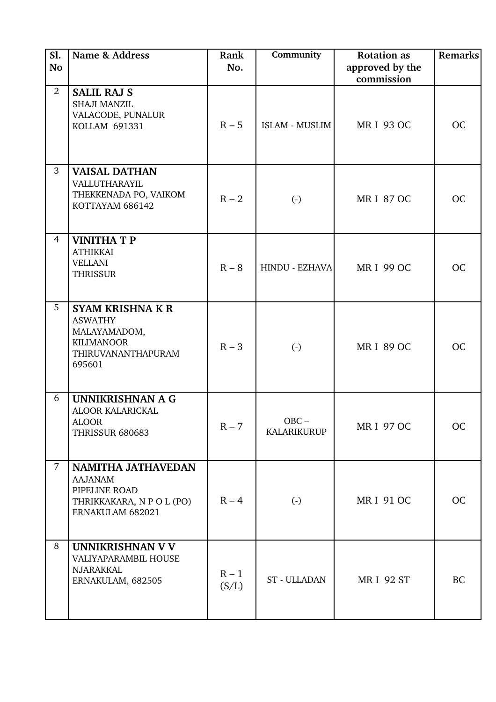| <b>S1.</b><br><b>No</b> | Name & Address                                                                                                 | Rank<br>No.      | Community              | <b>Rotation</b> as<br>approved by the | <b>Remarks</b> |
|-------------------------|----------------------------------------------------------------------------------------------------------------|------------------|------------------------|---------------------------------------|----------------|
| 2                       | <b>SALIL RAJ S</b><br>SHAJI MANZIL<br>VALACODE, PUNALUR<br>KOLLAM 691331                                       | $R - 5$          | <b>ISLAM - MUSLIM</b>  | commission<br><b>MRI 93 OC</b>        | <b>OC</b>      |
| 3                       | <b>VAISAL DATHAN</b><br>VALLUTHARAYIL<br>THEKKENADA PO, VAIKOM<br>KOTTAYAM 686142                              | $R - 2$          | $\left( \cdot \right)$ | <b>MRI 87 OC</b>                      | <b>OC</b>      |
| $\overline{4}$          | <b>VINITHATP</b><br><b>ATHIKKAI</b><br><b>VELLANI</b><br><b>THRISSUR</b>                                       | $R - 8$          | HINDU - EZHAVA         | <b>MRI 99 OC</b>                      | <b>OC</b>      |
| 5                       | <b>SYAM KRISHNA K R</b><br><b>ASWATHY</b><br>MALAYAMADOM,<br><b>KILIMANOOR</b><br>THIRUVANANTHAPURAM<br>695601 | $R - 3$          | $\left( \cdot \right)$ | <b>MRI 89 OC</b>                      | <b>OC</b>      |
| 6                       | UNNIKRISHNAN A G<br>ALOOR KALARICKAL<br><b>ALOOR</b><br><b>THRISSUR 680683</b>                                 | $R - 7$          | $OBC -$<br>KALARIKURUP | <b>MRI 97 OC</b>                      | <b>OC</b>      |
| $\overline{7}$          | <b>NAMITHA JATHAVEDAN</b><br><b>AAJANAM</b><br>PIPELINE ROAD<br>THRIKKAKARA, N P O L (PO)<br>ERNAKULAM 682021  | $R - 4$          | $\left( -\right)$      | <b>MRI 91 OC</b>                      | <b>OC</b>      |
| 8                       | UNNIKRISHNAN V V<br>VALIYAPARAMBIL HOUSE<br><b>NJARAKKAL</b><br>ERNAKULAM, 682505                              | $R - 1$<br>(S/L) | ST - ULLADAN           | <b>MRI 92 ST</b>                      | <b>BC</b>      |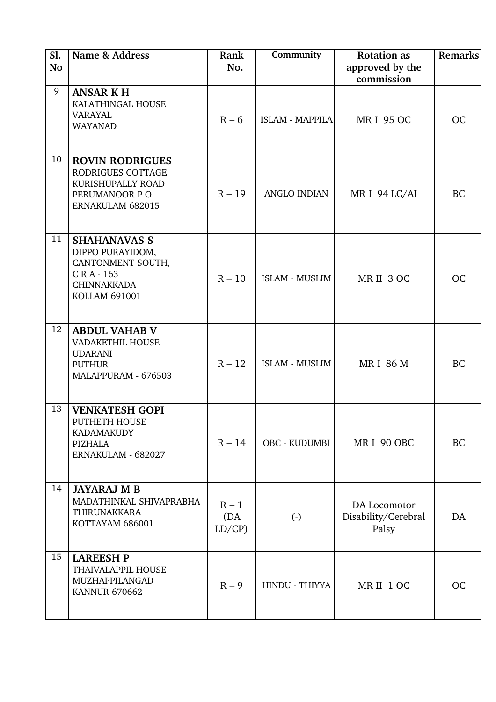| Sl.<br><b>No</b> | Name & Address                                                                                                        | Rank<br>No.             | Community             | <b>Rotation as</b><br>approved by the<br>commission | <b>Remarks</b> |
|------------------|-----------------------------------------------------------------------------------------------------------------------|-------------------------|-----------------------|-----------------------------------------------------|----------------|
| 9                | <b>ANSAR KH</b><br>KALATHINGAL HOUSE<br><b>VARAYAL</b><br><b>WAYANAD</b>                                              | $R - 6$                 | ISLAM - MAPPILA       | <b>MRI 95 OC</b>                                    | <b>OC</b>      |
| 10               | <b>ROVIN RODRIGUES</b><br>RODRIGUES COTTAGE<br>KURISHUPALLY ROAD<br>PERUMANOOR PO<br>ERNAKULAM 682015                 | $R - 19$                | ANGLO INDIAN          | MR I 94 LC/AI                                       | <b>BC</b>      |
| 11               | <b>SHAHANAVAS S</b><br>DIPPO PURAYIDOM,<br>CANTONMENT SOUTH,<br>CRA-163<br><b>CHINNAKKADA</b><br><b>KOLLAM 691001</b> | $R - 10$                | <b>ISLAM - MUSLIM</b> | MRII 3 OC                                           | <b>OC</b>      |
| 12               | <b>ABDUL VAHAB V</b><br><b>VADAKETHIL HOUSE</b><br><b>UDARANI</b><br><b>PUTHUR</b><br>MALAPPURAM - 676503             | $R - 12$                | <b>ISLAM - MUSLIM</b> | <b>MRI 86 M</b>                                     | <b>BC</b>      |
| 13               | <b>VENKATESH GOPI</b><br>PUTHETH HOUSE<br><b>KADAMAKUDY</b><br>PIZHALA<br>ERNAKULAM - 682027                          | $R - 14$                | <b>OBC - KUDUMBI</b>  | MRI 90 OBC                                          | <b>BC</b>      |
| 14               | <b>JAYARAJ M B</b><br>MADATHINKAL SHIVAPRABHA<br><b>THIRUNAKKARA</b><br>KOTTAYAM 686001                               | $R - 1$<br>(DA<br>LD/CP | $\left( -\right)$     | DA Locomotor<br>Disability/Cerebral<br>Palsy        | DA             |
| 15               | <b>LAREESH P</b><br>THAIVALAPPIL HOUSE<br>MUZHAPPILANGAD<br><b>KANNUR 670662</b>                                      | $R - 9$                 | HINDU - THIYYA        | MRII 1 OC                                           | <b>OC</b>      |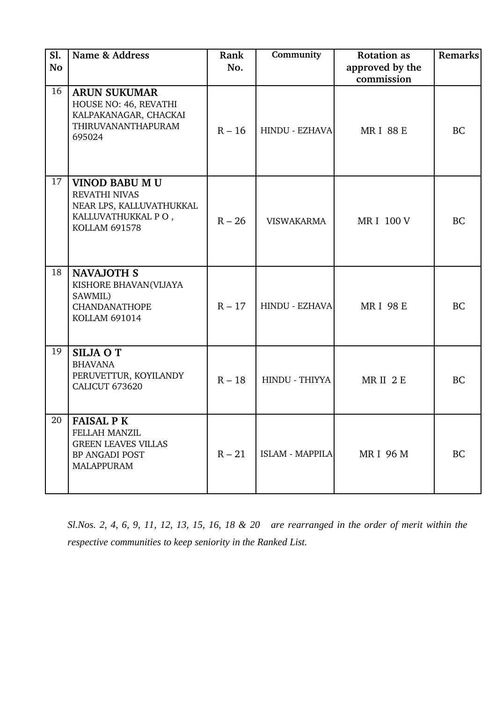| <b>S1.</b><br><b>No</b> | Name & Address                                                                                                          | Rank<br>No. | Community         | <b>Rotation</b> as<br>approved by the<br>commission | Remarks   |
|-------------------------|-------------------------------------------------------------------------------------------------------------------------|-------------|-------------------|-----------------------------------------------------|-----------|
| 16                      | <b>ARUN SUKUMAR</b><br>HOUSE NO: 46, REVATHI<br>KALPAKANAGAR, CHACKAI<br>THIRUVANANTHAPURAM<br>695024                   | $R - 16$    | HINDU - EZHAVA    | <b>MRI 88 E</b>                                     | <b>BC</b> |
| 17                      | <b>VINOD BABU M U</b><br><b>REVATHI NIVAS</b><br>NEAR LPS, KALLUVATHUKKAL<br>KALLUVATHUKKAL PO,<br><b>KOLLAM 691578</b> | $R - 26$    | <b>VISWAKARMA</b> | <b>MRI 100 V</b>                                    | <b>BC</b> |
| 18                      | <b>NAVAJOTH S</b><br>KISHORE BHAVAN(VIJAYA<br>SAWMIL)<br><b>CHANDANATHOPE</b><br><b>KOLLAM 691014</b>                   | $R - 17$    | HINDU - EZHAVA    | <b>MRI 98 E</b>                                     | <b>BC</b> |
| 19                      | <b>SILJA O T</b><br><b>BHAVANA</b><br>PERUVETTUR, KOYILANDY<br>CALICUT 673620                                           | $R - 18$    | HINDU - THIYYA    | MRII 2E                                             | <b>BC</b> |
| 20                      | <b>FAISAL P K</b><br><b>FELLAH MANZIL</b><br><b>GREEN LEAVES VILLAS</b><br>BP ANGADI POST<br><b>MALAPPURAM</b>          | $R - 21$    | ISLAM - MAPPILA   | <b>MRI 96 M</b>                                     | <b>BC</b> |

*Sl.Nos. 2, 4, 6, 9, 11, 12, 13, 15, 16, 18 & 20 are rearranged in the order of merit within the respective communities to keep seniority in the Ranked List.*